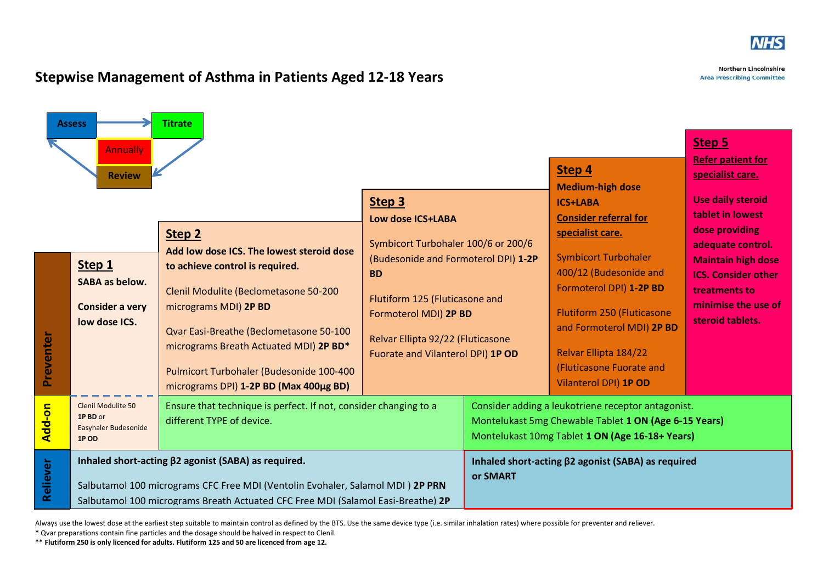

**Northern Lincolnshire Area Prescribing Committee** 

## **Stepwise Management of Asthma in Patients Aged 12-18 Years**

| Preventer | <b>Titrate</b><br><b>Assess</b><br><b>Annually</b><br><b>Review</b><br>Step 2<br>Add low dose ICS. The lowest steroid dose<br>Step 1<br>to achieve control is required.<br><b>SABA as below.</b><br>Clenil Modulite (Beclometasone 50-200<br><b>Consider a very</b><br>micrograms MDI) 2P BD<br>low dose ICS.<br>Qvar Easi-Breathe (Beclometasone 50-100<br>micrograms Breath Actuated MDI) 2P BD*<br>Pulmicort Turbohaler (Budesonide 100-400 |                                                                                                                                         | Step 3<br>Low dose ICS+LABA<br>Symbicort Turbohaler 100/6 or 200/6<br>(Budesonide and Formoterol DPI) 1-2P<br><b>BD</b><br>Flutiform 125 (Fluticasone and<br>Formoterol MDI) 2P BD<br>Relvar Ellipta 92/22 (Fluticasone<br>Fuorate and Vilanterol DPI) 1P OD |                                                                                                                                                                | Step 4<br><b>Medium-high dose</b><br><b>ICS+LABA</b><br><b>Consider referral for</b><br>specialist care.<br><b>Symbicort Turbohaler</b><br>400/12 (Budesonide and<br>Formoterol DPI) 1-2P BD<br><b>Flutiform 250 (Fluticasone</b><br>and Formoterol MDI) 2P BD<br>Relvar Ellipta 184/22<br>(Fluticasone Fuorate and<br><b>Vilanterol DPI) 1P OD</b> | Step 5<br><b>Refer patient for</b><br>specialist care.<br><b>Use daily steroid</b><br>tablet in lowest<br>dose providing<br>adequate control.<br><b>Maintain high dose</b><br><b>ICS. Consider other</b><br>treatments to<br>minimise the use of<br>steroid tablets. |
|-----------|------------------------------------------------------------------------------------------------------------------------------------------------------------------------------------------------------------------------------------------------------------------------------------------------------------------------------------------------------------------------------------------------------------------------------------------------|-----------------------------------------------------------------------------------------------------------------------------------------|--------------------------------------------------------------------------------------------------------------------------------------------------------------------------------------------------------------------------------------------------------------|----------------------------------------------------------------------------------------------------------------------------------------------------------------|-----------------------------------------------------------------------------------------------------------------------------------------------------------------------------------------------------------------------------------------------------------------------------------------------------------------------------------------------------|----------------------------------------------------------------------------------------------------------------------------------------------------------------------------------------------------------------------------------------------------------------------|
| Add-on    | <b>Clenil Modulite 50</b><br>1P BD or<br>Easyhaler Budesonide<br>1P OD                                                                                                                                                                                                                                                                                                                                                                         | micrograms DPI) 1-2P BD (Max 400µg BD)<br>Ensure that technique is perfect. If not, consider changing to a<br>different TYPE of device. |                                                                                                                                                                                                                                                              | Consider adding a leukotriene receptor antagonist.<br>Montelukast 5mg Chewable Tablet 1 ON (Age 6-15 Years)<br>Montelukast 10mg Tablet 1 ON (Age 16-18+ Years) |                                                                                                                                                                                                                                                                                                                                                     |                                                                                                                                                                                                                                                                      |
| Reliever  | Inhaled short-acting $\beta$ 2 agonist (SABA) as required.<br>Salbutamol 100 micrograms CFC Free MDI (Ventolin Evohaler, Salamol MDI) 2P PRN<br>Salbutamol 100 micrograms Breath Actuated CFC Free MDI (Salamol Easi-Breathe) 2P                                                                                                                                                                                                               |                                                                                                                                         |                                                                                                                                                                                                                                                              | Inhaled short-acting $\beta$ 2 agonist (SABA) as required<br>or SMART                                                                                          |                                                                                                                                                                                                                                                                                                                                                     |                                                                                                                                                                                                                                                                      |

Always use the lowest dose at the earliest step suitable to maintain control as defined by the BTS. Use the same device type (i.e. similar inhalation rates) where possible for preventer and reliever. **PRN**

**\*** Qvar preparations contain fine particles and the dosage should be halved in respect to Clenil.

**<sup>\*\*</sup> Flutiform 250 is only licenced for adults. Flutiform 125 and 50 are licenced from age 12.**